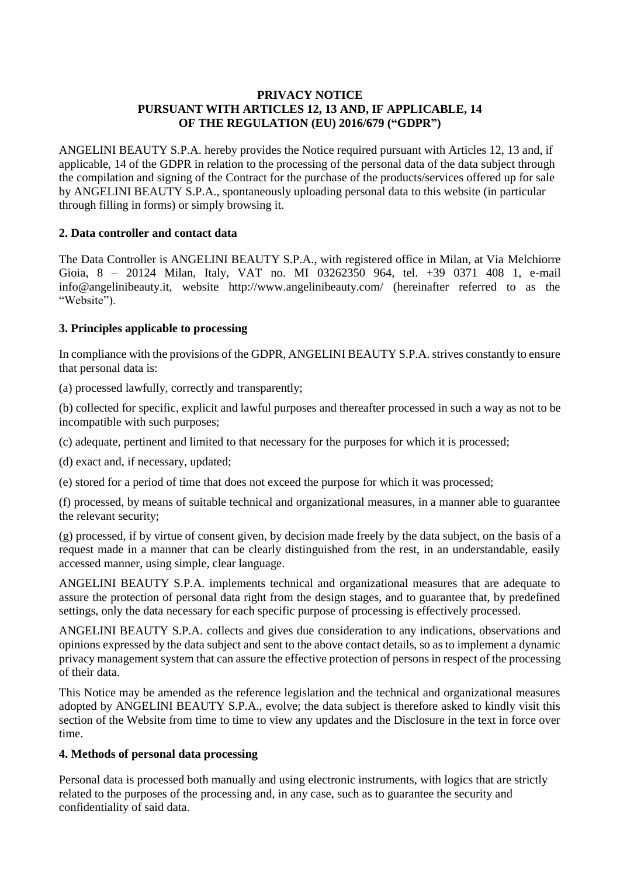## **PRIVACY NOTICE PURSUANT WITH ARTICLES 12, 13 AND, IF APPLICABLE, 14 OF THE REGULATION (EU) 2016/679 ("GDPR")**

ANGELINI BEAUTY S.P.A. hereby provides the Notice required pursuant with Articles 12, 13 and, if applicable, 14 of the GDPR in relation to the processing of the personal data of the data subject through the compilation and signing of the Contract for the purchase of the products/services offered up for sale by ANGELINI BEAUTY S.P.A., spontaneously uploading personal data to this website (in particular through filling in forms) or simply browsing it.

# **2. Data controller and contact data**

The Data Controller is ANGELINI BEAUTY S.P.A., with registered office in Milan, at Via Melchiorre Gioia, 8 – 20124 Milan, Italy, VAT no. MI 03262350 964, tel. +39 0371 408 1, e-mail info@angelinibeauty.it, website http://www.angelinibeauty.com/ (hereinafter referred to as the "Website").

## **3. Principles applicable to processing**

In compliance with the provisions of the GDPR, ANGELINI BEAUTY S.P.A. strives constantly to ensure that personal data is:

(a) processed lawfully, correctly and transparently;

(b) collected for specific, explicit and lawful purposes and thereafter processed in such a way as not to be incompatible with such purposes;

(c) adequate, pertinent and limited to that necessary for the purposes for which it is processed;

(d) exact and, if necessary, updated;

(e) stored for a period of time that does not exceed the purpose for which it was processed;

(f) processed, by means of suitable technical and organizational measures, in a manner able to guarantee the relevant security;

(g) processed, if by virtue of consent given, by decision made freely by the data subject, on the basis of a request made in a manner that can be clearly distinguished from the rest, in an understandable, easily accessed manner, using simple, clear language.

ANGELINI BEAUTY S.P.A. implements technical and organizational measures that are adequate to assure the protection of personal data right from the design stages, and to guarantee that, by predefined settings, only the data necessary for each specific purpose of processing is effectively processed.

ANGELINI BEAUTY S.P.A. collects and gives due consideration to any indications, observations and opinions expressed by the data subject and sent to the above contact details, so as to implement a dynamic privacy management system that can assure the effective protection of persons in respect of the processing of their data.

This Notice may be amended as the reference legislation and the technical and organizational measures adopted by ANGELINI BEAUTY S.P.A., evolve; the data subject is therefore asked to kindly visit this section of the Website from time to time to view any updates and the Disclosure in the text in force over time.

## **4. Methods of personal data processing**

Personal data is processed both manually and using electronic instruments, with logics that are strictly related to the purposes of the processing and, in any case, such as to guarantee the security and confidentiality of said data.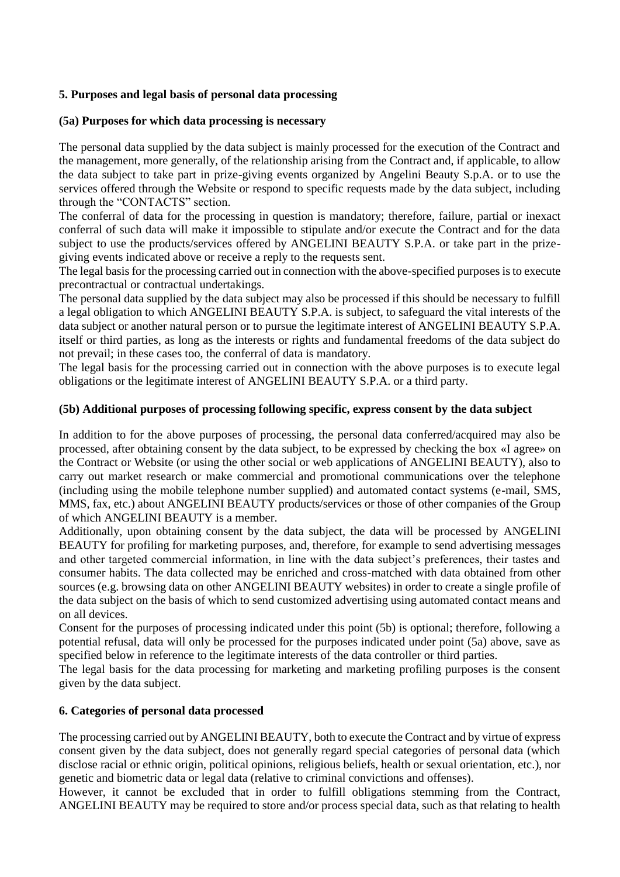## **5. Purposes and legal basis of personal data processing**

## **(5a) Purposes for which data processing is necessary**

The personal data supplied by the data subject is mainly processed for the execution of the Contract and the management, more generally, of the relationship arising from the Contract and, if applicable, to allow the data subject to take part in prize-giving events organized by Angelini Beauty S.p.A. or to use the services offered through the Website or respond to specific requests made by the data subject, including through the "CONTACTS" section.

The conferral of data for the processing in question is mandatory; therefore, failure, partial or inexact conferral of such data will make it impossible to stipulate and/or execute the Contract and for the data subject to use the products/services offered by ANGELINI BEAUTY S.P.A. or take part in the prizegiving events indicated above or receive a reply to the requests sent.

The legal basis for the processing carried out in connection with the above-specified purposes is to execute precontractual or contractual undertakings.

The personal data supplied by the data subject may also be processed if this should be necessary to fulfill a legal obligation to which ANGELINI BEAUTY S.P.A. is subject, to safeguard the vital interests of the data subject or another natural person or to pursue the legitimate interest of ANGELINI BEAUTY S.P.A. itself or third parties, as long as the interests or rights and fundamental freedoms of the data subject do not prevail; in these cases too, the conferral of data is mandatory.

The legal basis for the processing carried out in connection with the above purposes is to execute legal obligations or the legitimate interest of ANGELINI BEAUTY S.P.A. or a third party.

### **(5b) Additional purposes of processing following specific, express consent by the data subject**

In addition to for the above purposes of processing, the personal data conferred/acquired may also be processed, after obtaining consent by the data subject, to be expressed by checking the box «I agree» on the Contract or Website (or using the other social or web applications of ANGELINI BEAUTY), also to carry out market research or make commercial and promotional communications over the telephone (including using the mobile telephone number supplied) and automated contact systems (e-mail, SMS, MMS, fax, etc.) about ANGELINI BEAUTY products/services or those of other companies of the Group of which ANGELINI BEAUTY is a member.

Additionally, upon obtaining consent by the data subject, the data will be processed by ANGELINI BEAUTY for profiling for marketing purposes, and, therefore, for example to send advertising messages and other targeted commercial information, in line with the data subject's preferences, their tastes and consumer habits. The data collected may be enriched and cross-matched with data obtained from other sources (e.g. browsing data on other ANGELINI BEAUTY websites) in order to create a single profile of the data subject on the basis of which to send customized advertising using automated contact means and on all devices.

Consent for the purposes of processing indicated under this point (5b) is optional; therefore, following a potential refusal, data will only be processed for the purposes indicated under point (5a) above, save as specified below in reference to the legitimate interests of the data controller or third parties.

The legal basis for the data processing for marketing and marketing profiling purposes is the consent given by the data subject.

## **6. Categories of personal data processed**

The processing carried out by ANGELINI BEAUTY, both to execute the Contract and by virtue of express consent given by the data subject, does not generally regard special categories of personal data (which disclose racial or ethnic origin, political opinions, religious beliefs, health or sexual orientation, etc.), nor genetic and biometric data or legal data (relative to criminal convictions and offenses).

However, it cannot be excluded that in order to fulfill obligations stemming from the Contract, ANGELINI BEAUTY may be required to store and/or process special data, such as that relating to health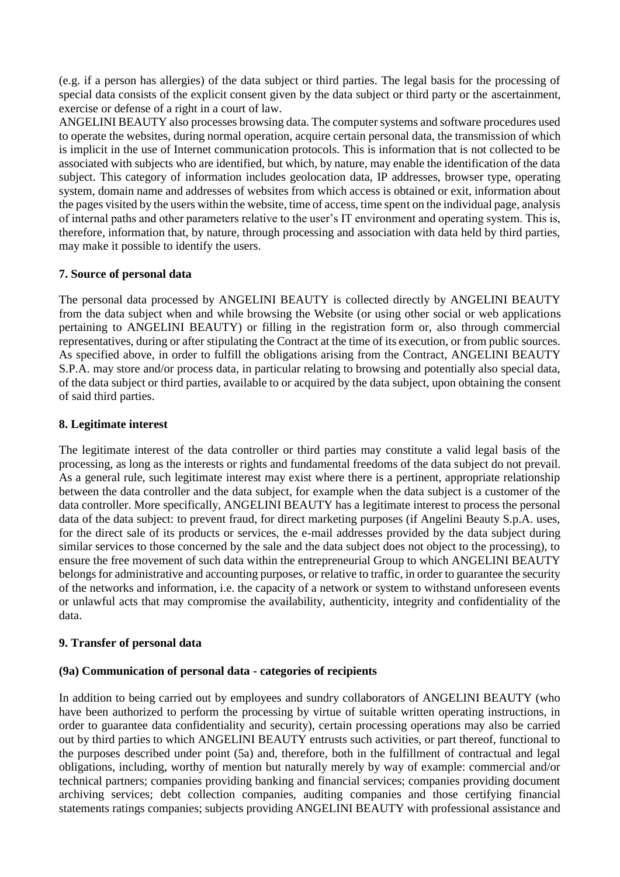(e.g. if a person has allergies) of the data subject or third parties. The legal basis for the processing of special data consists of the explicit consent given by the data subject or third party or the ascertainment, exercise or defense of a right in a court of law.

ANGELINI BEAUTY also processes browsing data. The computer systems and software procedures used to operate the websites, during normal operation, acquire certain personal data, the transmission of which is implicit in the use of Internet communication protocols. This is information that is not collected to be associated with subjects who are identified, but which, by nature, may enable the identification of the data subject. This category of information includes geolocation data, IP addresses, browser type, operating system, domain name and addresses of websites from which access is obtained or exit, information about the pages visited by the users within the website, time of access, time spent on the individual page, analysis of internal paths and other parameters relative to the user's IT environment and operating system. This is, therefore, information that, by nature, through processing and association with data held by third parties, may make it possible to identify the users.

# **7. Source of personal data**

The personal data processed by ANGELINI BEAUTY is collected directly by ANGELINI BEAUTY from the data subject when and while browsing the Website (or using other social or web applications pertaining to ANGELINI BEAUTY) or filling in the registration form or, also through commercial representatives, during or after stipulating the Contract at the time of its execution, or from public sources. As specified above, in order to fulfill the obligations arising from the Contract, ANGELINI BEAUTY S.P.A. may store and/or process data, in particular relating to browsing and potentially also special data, of the data subject or third parties, available to or acquired by the data subject, upon obtaining the consent of said third parties.

# **8. Legitimate interest**

The legitimate interest of the data controller or third parties may constitute a valid legal basis of the processing, as long as the interests or rights and fundamental freedoms of the data subject do not prevail. As a general rule, such legitimate interest may exist where there is a pertinent, appropriate relationship between the data controller and the data subject, for example when the data subject is a customer of the data controller. More specifically, ANGELINI BEAUTY has a legitimate interest to process the personal data of the data subject: to prevent fraud, for direct marketing purposes (if Angelini Beauty S.p.A. uses, for the direct sale of its products or services, the e-mail addresses provided by the data subject during similar services to those concerned by the sale and the data subject does not object to the processing), to ensure the free movement of such data within the entrepreneurial Group to which ANGELINI BEAUTY belongs for administrative and accounting purposes, or relative to traffic, in order to guarantee the security of the networks and information, i.e. the capacity of a network or system to withstand unforeseen events or unlawful acts that may compromise the availability, authenticity, integrity and confidentiality of the data.

## **9. Transfer of personal data**

## **(9a) Communication of personal data - categories of recipients**

In addition to being carried out by employees and sundry collaborators of ANGELINI BEAUTY (who have been authorized to perform the processing by virtue of suitable written operating instructions, in order to guarantee data confidentiality and security), certain processing operations may also be carried out by third parties to which ANGELINI BEAUTY entrusts such activities, or part thereof, functional to the purposes described under point (5a) and, therefore, both in the fulfillment of contractual and legal obligations, including, worthy of mention but naturally merely by way of example: commercial and/or technical partners; companies providing banking and financial services; companies providing document archiving services; debt collection companies, auditing companies and those certifying financial statements ratings companies; subjects providing ANGELINI BEAUTY with professional assistance and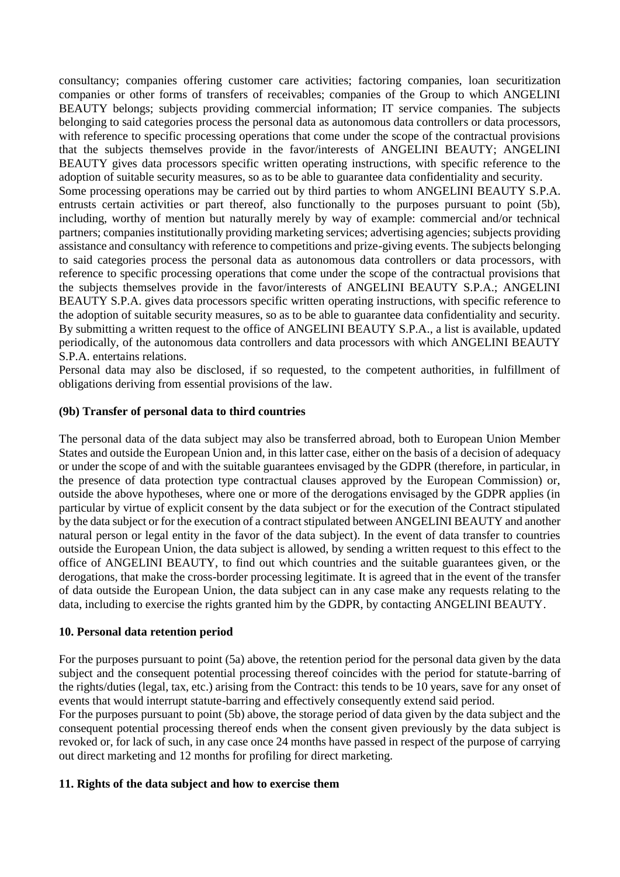consultancy; companies offering customer care activities; factoring companies, loan securitization companies or other forms of transfers of receivables; companies of the Group to which ANGELINI BEAUTY belongs; subjects providing commercial information; IT service companies. The subjects belonging to said categories process the personal data as autonomous data controllers or data processors, with reference to specific processing operations that come under the scope of the contractual provisions that the subjects themselves provide in the favor/interests of ANGELINI BEAUTY; ANGELINI BEAUTY gives data processors specific written operating instructions, with specific reference to the adoption of suitable security measures, so as to be able to guarantee data confidentiality and security. Some processing operations may be carried out by third parties to whom ANGELINI BEAUTY S.P.A. entrusts certain activities or part thereof, also functionally to the purposes pursuant to point (5b), including, worthy of mention but naturally merely by way of example: commercial and/or technical partners; companies institutionally providing marketing services; advertising agencies; subjects providing assistance and consultancy with reference to competitions and prize-giving events. The subjects belonging to said categories process the personal data as autonomous data controllers or data processors, with reference to specific processing operations that come under the scope of the contractual provisions that the subjects themselves provide in the favor/interests of ANGELINI BEAUTY S.P.A.; ANGELINI BEAUTY S.P.A. gives data processors specific written operating instructions, with specific reference to the adoption of suitable security measures, so as to be able to guarantee data confidentiality and security. By submitting a written request to the office of ANGELINI BEAUTY S.P.A., a list is available, updated periodically, of the autonomous data controllers and data processors with which ANGELINI BEAUTY S.P.A. entertains relations.

Personal data may also be disclosed, if so requested, to the competent authorities, in fulfillment of obligations deriving from essential provisions of the law.

### **(9b) Transfer of personal data to third countries**

The personal data of the data subject may also be transferred abroad, both to European Union Member States and outside the European Union and, in this latter case, either on the basis of a decision of adequacy or under the scope of and with the suitable guarantees envisaged by the GDPR (therefore, in particular, in the presence of data protection type contractual clauses approved by the European Commission) or, outside the above hypotheses, where one or more of the derogations envisaged by the GDPR applies (in particular by virtue of explicit consent by the data subject or for the execution of the Contract stipulated by the data subject or for the execution of a contract stipulated between ANGELINI BEAUTY and another natural person or legal entity in the favor of the data subject). In the event of data transfer to countries outside the European Union, the data subject is allowed, by sending a written request to this effect to the office of ANGELINI BEAUTY, to find out which countries and the suitable guarantees given, or the derogations, that make the cross-border processing legitimate. It is agreed that in the event of the transfer of data outside the European Union, the data subject can in any case make any requests relating to the data, including to exercise the rights granted him by the GDPR, by contacting ANGELINI BEAUTY.

#### **10. Personal data retention period**

For the purposes pursuant to point (5a) above, the retention period for the personal data given by the data subject and the consequent potential processing thereof coincides with the period for statute-barring of the rights/duties (legal, tax, etc.) arising from the Contract: this tends to be 10 years, save for any onset of events that would interrupt statute-barring and effectively consequently extend said period.

For the purposes pursuant to point (5b) above, the storage period of data given by the data subject and the consequent potential processing thereof ends when the consent given previously by the data subject is revoked or, for lack of such, in any case once 24 months have passed in respect of the purpose of carrying out direct marketing and 12 months for profiling for direct marketing.

#### **11. Rights of the data subject and how to exercise them**